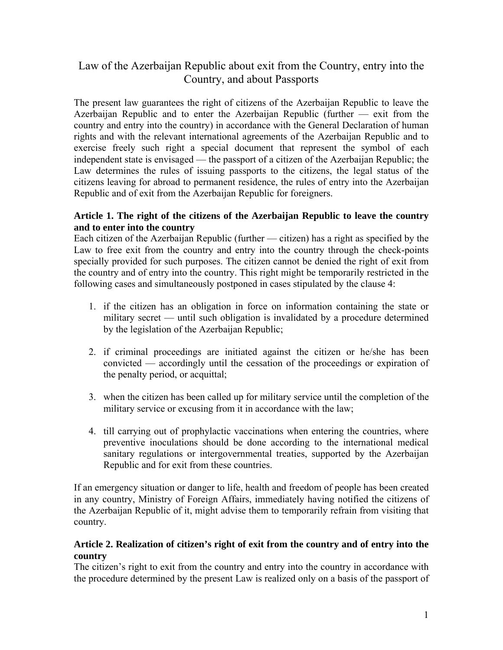# Law of the Azerbaijan Republic about exit from the Country, entry into the Country, and about Passports

The present law guarantees the right of citizens of the Azerbaijan Republic to leave the Azerbaijan Republic and to enter the Azerbaijan Republic (further — exit from the country and entry into the country) in accordance with the General Declaration of human rights and with the relevant international agreements of the Azerbaijan Republic and to exercise freely such right a special document that represent the symbol of each independent state is envisaged — the passport of a citizen of the Azerbaijan Republic; the Law determines the rules of issuing passports to the citizens, the legal status of the citizens leaving for abroad to permanent residence, the rules of entry into the Azerbaijan Republic and of exit from the Azerbaijan Republic for foreigners.

# **Article 1. The right of the citizens of the Azerbaijan Republic to leave the country and to enter into the country**

Each citizen of the Azerbaijan Republic (further — citizen) has a right as specified by the Law to free exit from the country and entry into the country through the check-points specially provided for such purposes. The citizen cannot be denied the right of exit from the country and of entry into the country. This right might be temporarily restricted in the following cases and simultaneously postponed in cases stipulated by the clause 4:

- 1. if the citizen has an obligation in force on information containing the state or military secret — until such obligation is invalidated by a procedure determined by the legislation of the Azerbaijan Republic;
- 2. if criminal proceedings are initiated against the citizen or he/she has been convicted — accordingly until the cessation of the proceedings or expiration of the penalty period, or acquittal;
- 3. when the citizen has been called up for military service until the completion of the military service or excusing from it in accordance with the law;
- 4. till carrying out of prophylactic vaccinations when entering the countries, where preventive inoculations should be done according to the international medical sanitary regulations or intergovernmental treaties, supported by the Azerbaijan Republic and for exit from these countries.

If an emergency situation or danger to life, health and freedom of people has been created in any country, Ministry of Foreign Affairs, immediately having notified the citizens of the Azerbaijan Republic of it, might advise them to temporarily refrain from visiting that country.

# **Article 2. Realization of citizen's right of exit from the country and of entry into the country**

The citizen's right to exit from the country and entry into the country in accordance with the procedure determined by the present Law is realized only on a basis of the passport of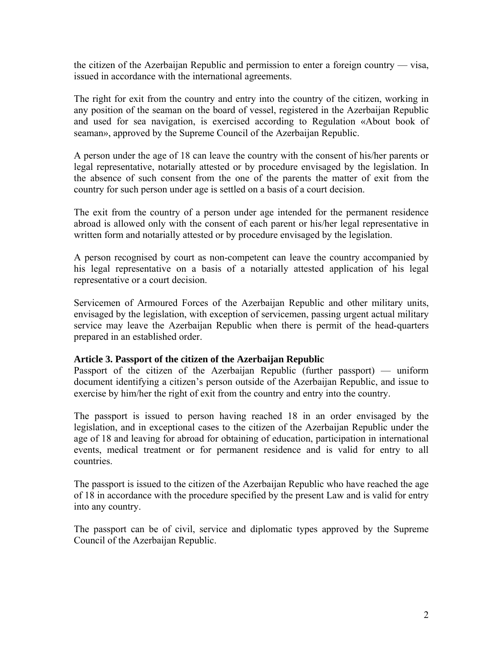the citizen of the Azerbaijan Republic and permission to enter a foreign country — visa, issued in accordance with the international agreements.

The right for exit from the country and entry into the country of the citizen, working in any position of the seaman on the board of vessel, registered in the Azerbaijan Republic and used for sea navigation, is exercised according to Regulation «About book of seaman», approved by the Supreme Council of the Azerbaijan Republic.

A person under the age of 18 can leave the country with the consent of his/her parents or legal representative, notarially attested or by procedure envisaged by the legislation. In the absence of such consent from the one of the parents the matter of exit from the country for such person under age is settled on a basis of a court decision.

The exit from the country of a person under age intended for the permanent residence abroad is allowed only with the consent of each parent or his/her legal representative in written form and notarially attested or by procedure envisaged by the legislation.

A person recognised by court as non-competent can leave the country accompanied by his legal representative on a basis of a notarially attested application of his legal representative or a court decision.

Servicemen of Armoured Forces of the Azerbaijan Republic and other military units, envisaged by the legislation, with exception of servicemen, passing urgent actual military service may leave the Azerbaijan Republic when there is permit of the head-quarters prepared in an established order.

### **Article 3. Passport of the citizen of the Azerbaijan Republic**

Passport of the citizen of the Azerbaijan Republic (further passport) — uniform document identifying a citizen's person outside of the Azerbaijan Republic, and issue to exercise by him/her the right of exit from the country and entry into the country.

The passport is issued to person having reached 18 in an order envisaged by the legislation, and in exceptional cases to the citizen of the Azerbaijan Republic under the age of 18 and leaving for abroad for obtaining of education, participation in international events, medical treatment or for permanent residence and is valid for entry to all countries.

The passport is issued to the citizen of the Azerbaijan Republic who have reached the age of 18 in accordance with the procedure specified by the present Law and is valid for entry into any country.

The passport can be of civil, service and diplomatic types approved by the Supreme Council of the Azerbaijan Republic.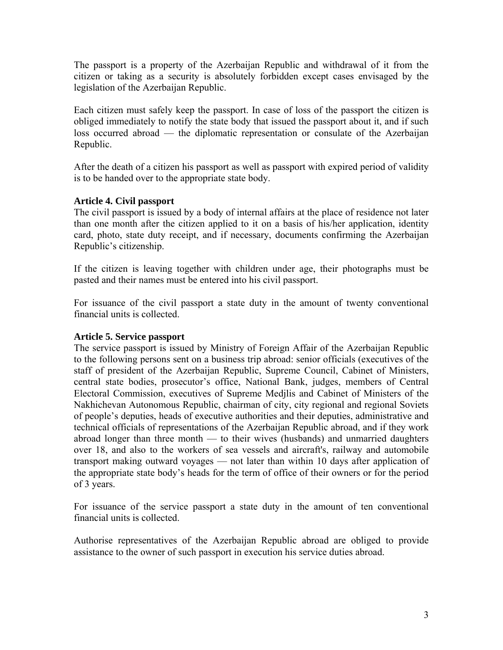The passport is a property of the Azerbaijan Republic and withdrawal of it from the citizen or taking as a security is absolutely forbidden except cases envisaged by the legislation of the Azerbaijan Republic.

Each citizen must safely keep the passport. In case of loss of the passport the citizen is obliged immediately to notify the state body that issued the passport about it, and if such loss occurred abroad — the diplomatic representation or consulate of the Azerbaijan Republic.

After the death of a citizen his passport as well as passport with expired period of validity is to be handed over to the appropriate state body.

# **Article 4. Civil passport**

The civil passport is issued by a body of internal affairs at the place of residence not later than one month after the citizen applied to it on a basis of his/her application, identity card, photo, state duty receipt, and if necessary, documents confirming the Azerbaijan Republic's citizenship.

If the citizen is leaving together with children under age, their photographs must be pasted and their names must be entered into his civil passport.

For issuance of the civil passport a state duty in the amount of twenty conventional financial units is collected.

### **Article 5. Service passport**

The service passport is issued by Ministry of Foreign Affair of the Azerbaijan Republic to the following persons sent on a business trip abroad: senior officials (executives of the staff of president of the Azerbaijan Republic, Supreme Council, Cabinet of Ministers, central state bodies, prosecutor's office, National Bank, judges, members of Central Electoral Commission, executives of Supreme Medjlis and Cabinet of Ministers of the Nakhichevan Autonomous Republic, chairman of city, city regional and regional Soviets of people's deputies, heads of executive authorities and their deputies, administrative and technical officials of representations of the Azerbaijan Republic abroad, and if they work abroad longer than three month — to their wives (husbands) and unmarried daughters over 18, and also to the workers of sea vessels and aircraft's, railway and automobile transport making outward voyages — not later than within 10 days after application of the appropriate state body's heads for the term of office of their owners or for the period of 3 years.

For issuance of the service passport a state duty in the amount of ten conventional financial units is collected.

Authorise representatives of the Azerbaijan Republic abroad are obliged to provide assistance to the owner of such passport in execution his service duties abroad.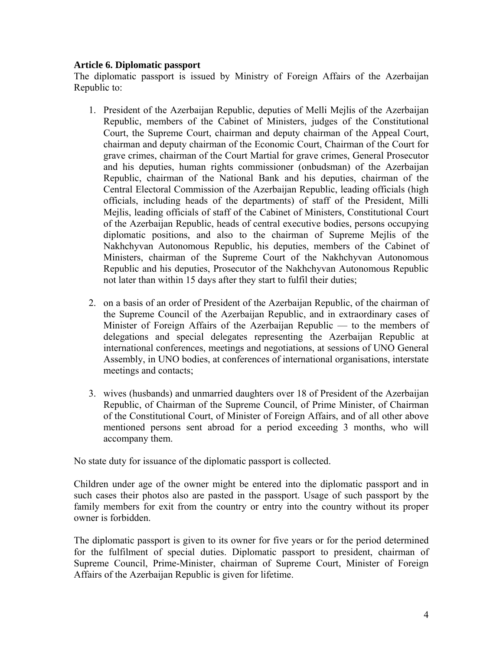## **Article 6. Diplomatic passport**

The diplomatic passport is issued by Ministry of Foreign Affairs of the Azerbaijan Republic to:

- 1. President of the Azerbaijan Republic, deputies of Melli Mejlis of the Azerbaijan Republic, members of the Cabinet of Ministers, judges of the Constitutional Court, the Supreme Court, chairman and deputy chairman of the Appeal Court, chairman and deputy chairman of the Economic Court, Chairman of the Court for grave crimes, chairman of the Court Martial for grave crimes, General Prosecutor and his deputies, human rights commissioner (onbudsman) of the Azerbaijan Republic, chairman of the National Bank and his deputies, chairman of the Central Electoral Commission of the Azerbaijan Republic, leading officials (high officials, including heads of the departments) of staff of the President, Milli Mejlis, leading officials of staff of the Cabinet of Ministers, Constitutional Court of the Azerbaijan Republic, heads of central executive bodies, persons occupying diplomatic positions, and also to the chairman of Supreme Mejlis of the Nakhchyvan Autonomous Republic, his deputies, members of the Cabinet of Ministers, chairman of the Supreme Court of the Nakhchyvan Autonomous Republic and his deputies, Prosecutor of the Nakhchyvan Autonomous Republic not later than within 15 days after they start to fulfil their duties;
- 2. on a basis of an order of President of the Azerbaijan Republic, of the chairman of the Supreme Council of the Azerbaijan Republic, and in extraordinary cases of Minister of Foreign Affairs of the Azerbaijan Republic — to the members of delegations and special delegates representing the Azerbaijan Republic at international conferences, meetings and negotiations, at sessions of UNO General Assembly, in UNO bodies, at conferences of international organisations, interstate meetings and contacts;
- 3. wives (husbands) and unmarried daughters over 18 of President of the Azerbaijan Republic, of Chairman of the Supreme Council, of Prime Minister, of Chairman of the Constitutional Court, of Minister of Foreign Affairs, and of all other above mentioned persons sent abroad for a period exceeding 3 months, who will accompany them.

No state duty for issuance of the diplomatic passport is collected.

Children under age of the owner might be entered into the diplomatic passport and in such cases their photos also are pasted in the passport. Usage of such passport by the family members for exit from the country or entry into the country without its proper owner is forbidden.

The diplomatic passport is given to its owner for five years or for the period determined for the fulfilment of special duties. Diplomatic passport to president, chairman of Supreme Council, Prime-Minister, chairman of Supreme Court, Minister of Foreign Affairs of the Azerbaijan Republic is given for lifetime.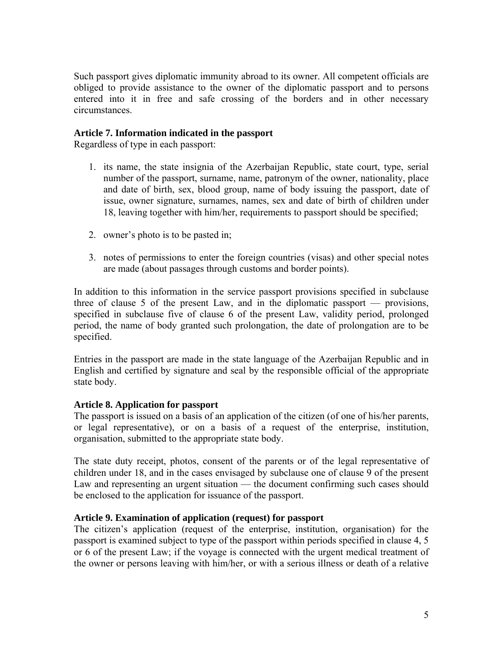Such passport gives diplomatic immunity abroad to its owner. All competent officials are obliged to provide assistance to the owner of the diplomatic passport and to persons entered into it in free and safe crossing of the borders and in other necessary circumstances.

# **Article 7. Information indicated in the passport**

Regardless of type in each passport:

- 1. its name, the state insignia of the Azerbaijan Republic, state court, type, serial number of the passport, surname, name, patronym of the owner, nationality, place and date of birth, sex, blood group, name of body issuing the passport, date of issue, owner signature, surnames, names, sex and date of birth of children under 18, leaving together with him/her, requirements to passport should be specified;
- 2. owner's photo is to be pasted in;
- 3. notes of permissions to enter the foreign countries (visas) and other special notes are made (about passages through customs and border points).

In addition to this information in the service passport provisions specified in subclause three of clause 5 of the present Law, and in the diplomatic passport — provisions, specified in subclause five of clause 6 of the present Law, validity period, prolonged period, the name of body granted such prolongation, the date of prolongation are to be specified.

Entries in the passport are made in the state language of the Azerbaijan Republic and in English and certified by signature and seal by the responsible official of the appropriate state body.

### **Article 8. Application for passport**

The passport is issued on a basis of an application of the citizen (of one of his/her parents, or legal representative), or on a basis of a request of the enterprise, institution, organisation, submitted to the appropriate state body.

The state duty receipt, photos, consent of the parents or of the legal representative of children under 18, and in the cases envisaged by subclause one of clause 9 of the present Law and representing an urgent situation — the document confirming such cases should be enclosed to the application for issuance of the passport.

#### **Article 9. Examination of application (request) for passport**

The citizen's application (request of the enterprise, institution, organisation) for the passport is examined subject to type of the passport within periods specified in clause 4, 5 or 6 of the present Law; if the voyage is connected with the urgent medical treatment of the owner or persons leaving with him/her, or with a serious illness or death of a relative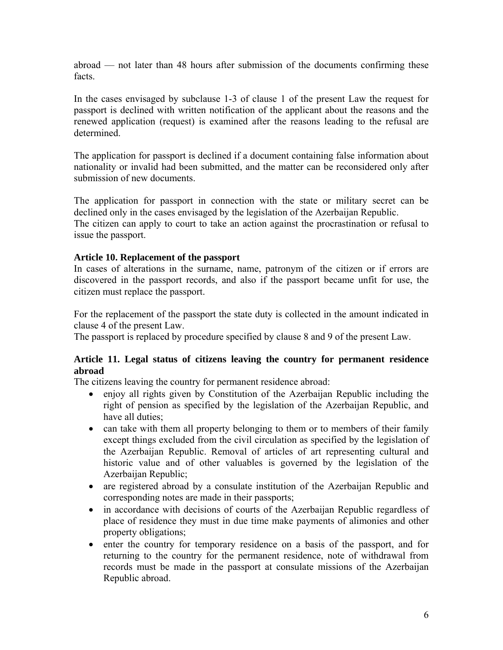abroad — not later than 48 hours after submission of the documents confirming these facts.

In the cases envisaged by subclause 1-3 of clause 1 of the present Law the request for passport is declined with written notification of the applicant about the reasons and the renewed application (request) is examined after the reasons leading to the refusal are determined.

The application for passport is declined if a document containing false information about nationality or invalid had been submitted, and the matter can be reconsidered only after submission of new documents.

The application for passport in connection with the state or military secret can be declined only in the cases envisaged by the legislation of the Azerbaijan Republic. The citizen can apply to court to take an action against the procrastination or refusal to

issue the passport.

# **Article 10. Replacement of the passport**

In cases of alterations in the surname, name, patronym of the citizen or if errors are discovered in the passport records, and also if the passport became unfit for use, the citizen must replace the passport.

For the replacement of the passport the state duty is collected in the amount indicated in clause 4 of the present Law.

The passport is replaced by procedure specified by clause 8 and 9 of the present Law.

# **Article 11. Legal status of citizens leaving the country for permanent residence abroad**

The citizens leaving the country for permanent residence abroad:

- enjoy all rights given by Constitution of the Azerbaijan Republic including the right of pension as specified by the legislation of the Azerbaijan Republic, and have all duties;
- can take with them all property belonging to them or to members of their family except things excluded from the civil circulation as specified by the legislation of the Azerbaijan Republic. Removal of articles of art representing cultural and historic value and of other valuables is governed by the legislation of the Azerbaijan Republic;
- are registered abroad by a consulate institution of the Azerbaijan Republic and corresponding notes are made in their passports;
- in accordance with decisions of courts of the Azerbaijan Republic regardless of place of residence they must in due time make payments of alimonies and other property obligations;
- enter the country for temporary residence on a basis of the passport, and for returning to the country for the permanent residence, note of withdrawal from records must be made in the passport at consulate missions of the Azerbaijan Republic abroad.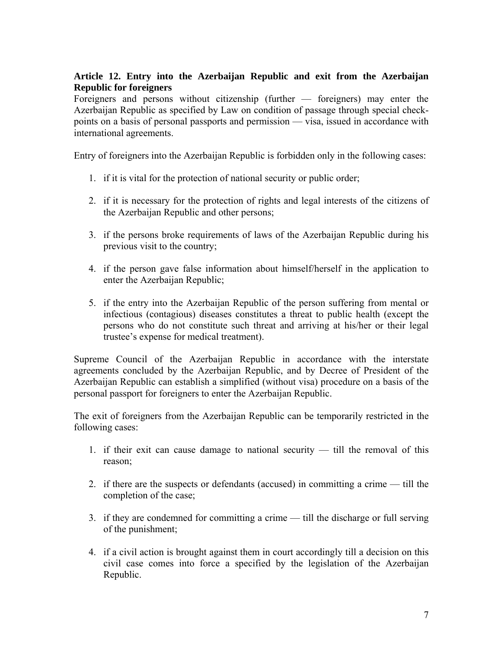# **Article 12. Entry into the Azerbaijan Republic and exit from the Azerbaijan Republic for foreigners**

Foreigners and persons without citizenship (further — foreigners) may enter the Azerbaijan Republic as specified by Law on condition of passage through special checkpoints on a basis of personal passports and permission — visa, issued in accordance with international agreements.

Entry of foreigners into the Azerbaijan Republic is forbidden only in the following cases:

- 1. if it is vital for the protection of national security or public order;
- 2. if it is necessary for the protection of rights and legal interests of the citizens of the Azerbaijan Republic and other persons;
- 3. if the persons broke requirements of laws of the Azerbaijan Republic during his previous visit to the country;
- 4. if the person gave false information about himself/herself in the application to enter the Azerbaijan Republic;
- 5. if the entry into the Azerbaijan Republic of the person suffering from mental or infectious (contagious) diseases constitutes a threat to public health (except the persons who do not constitute such threat and arriving at his/her or their legal trustee's expense for medical treatment).

Supreme Council of the Azerbaijan Republic in accordance with the interstate agreements concluded by the Azerbaijan Republic, and by Decree of President of the Azerbaijan Republic can establish a simplified (without visa) procedure on a basis of the personal passport for foreigners to enter the Azerbaijan Republic.

The exit of foreigners from the Azerbaijan Republic can be temporarily restricted in the following cases:

- 1. if their exit can cause damage to national security till the removal of this reason;
- 2. if there are the suspects or defendants (accused) in committing a crime till the completion of the case;
- 3. if they are condemned for committing a crime till the discharge or full serving of the punishment;
- 4. if a civil action is brought against them in court accordingly till a decision on this civil case comes into force a specified by the legislation of the Azerbaijan Republic.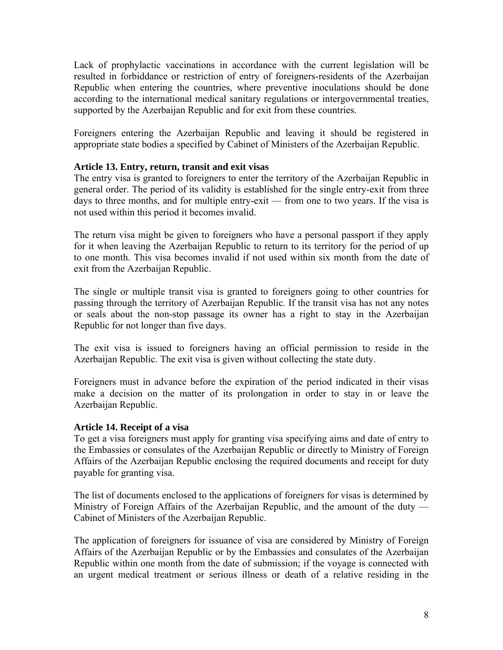Lack of prophylactic vaccinations in accordance with the current legislation will be resulted in forbiddance or restriction of entry of foreigners-residents of the Azerbaijan Republic when entering the countries, where preventive inoculations should be done according to the international medical sanitary regulations or intergovernmental treaties, supported by the Azerbaijan Republic and for exit from these countries.

Foreigners entering the Azerbaijan Republic and leaving it should be registered in appropriate state bodies a specified by Cabinet of Ministers of the Azerbaijan Republic.

# **Article 13. Entry, return, transit and exit visas**

The entry visa is granted to foreigners to enter the territory of the Azerbaijan Republic in general order. The period of its validity is established for the single entry-exit from three days to three months, and for multiple entry-exit — from one to two years. If the visa is not used within this period it becomes invalid.

The return visa might be given to foreigners who have a personal passport if they apply for it when leaving the Azerbaijan Republic to return to its territory for the period of up to one month. This visa becomes invalid if not used within six month from the date of exit from the Azerbaijan Republic.

The single or multiple transit visa is granted to foreigners going to other countries for passing through the territory of Azerbaijan Republic. If the transit visa has not any notes or seals about the non-stop passage its owner has a right to stay in the Azerbaijan Republic for not longer than five days.

The exit visa is issued to foreigners having an official permission to reside in the Azerbaijan Republic. The exit visa is given without collecting the state duty.

Foreigners must in advance before the expiration of the period indicated in their visas make a decision on the matter of its prolongation in order to stay in or leave the Azerbaijan Republic.

### **Article 14. Receipt of a visa**

To get a visa foreigners must apply for granting visa specifying aims and date of entry to the Embassies or consulates of the Azerbaijan Republic or directly to Ministry of Foreign Affairs of the Azerbaijan Republic enclosing the required documents and receipt for duty payable for granting visa.

The list of documents enclosed to the applications of foreigners for visas is determined by Ministry of Foreign Affairs of the Azerbaijan Republic, and the amount of the duty — Cabinet of Ministers of the Azerbaijan Republic.

The application of foreigners for issuance of visa are considered by Ministry of Foreign Affairs of the Azerbaijan Republic or by the Embassies and consulates of the Azerbaijan Republic within one month from the date of submission; if the voyage is connected with an urgent medical treatment or serious illness or death of a relative residing in the